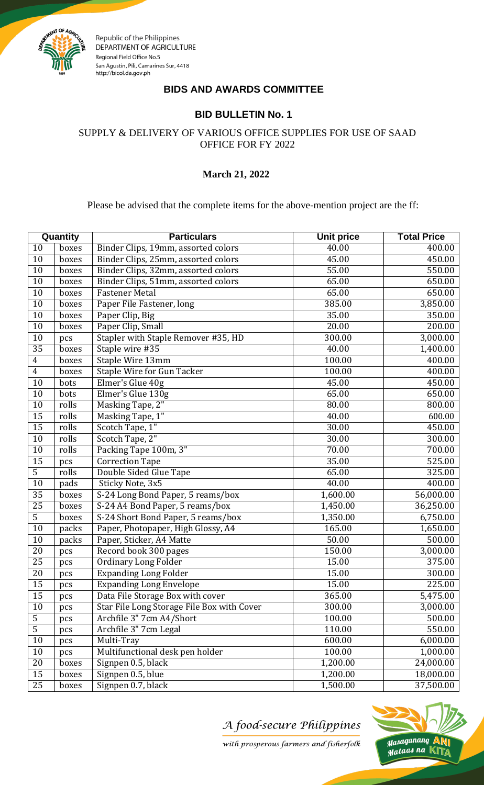

Republic of the Philippines DEPARTMENT OF AGRICULTURE Regional Field Office No.5 San Agustin, Pili, Camarines Sur, 4418 http://bicol.da.gov.ph

## **BIDS AND AWARDS COMMITTEE**

## **BID BULLETIN No. 1**

SUPPLY & DELIVERY OF VARIOUS OFFICE SUPPLIES FOR USE OF SAAD OFFICE FOR FY 2022

## **March 21, 2022**

Please be advised that the complete items for the above-mention project are the ff:

| Quantity         |       | <b>Particulars</b>                         | <b>Unit price</b> | <b>Total Price</b> |
|------------------|-------|--------------------------------------------|-------------------|--------------------|
| 10               | boxes | Binder Clips, 19mm, assorted colors        | 40.00             | 400.00             |
| $\overline{10}$  | boxes | Binder Clips, 25mm, assorted colors        | 45.00             | 450.00             |
| 10               | boxes | Binder Clips, 32mm, assorted colors        | 55.00             | 550.00             |
| 10               | boxes | Binder Clips, 51mm, assorted colors        | 65.00             | 650.00             |
| $\overline{10}$  | boxes | <b>Fastener Metal</b>                      | 65.00             | 650.00             |
| $\overline{10}$  | boxes | Paper File Fastener, long                  | 385.00            | 3,850.00           |
| $\overline{10}$  | boxes | Paper Clip, Big                            | 35.00             | 350.00             |
| 10               | boxes | Paper Clip, Small                          | 20.00             | 200.00             |
| $\overline{10}$  | pcs   | Stapler with Staple Remover #35, HD        | 300.00            | 3,000.00           |
| $\overline{35}$  | boxes | Staple wire #35                            | 40.00             | 1,400.00           |
| $\boldsymbol{4}$ | boxes | Staple Wire 13mm                           | 100.00            | 400.00             |
| $\overline{4}$   | boxes | <b>Staple Wire for Gun Tacker</b>          | 100.00            | 400.00             |
| 10               | bots  | Elmer's Glue 40g                           | 45.00             | 450.00             |
| $\overline{10}$  | bots  | Elmer's Glue 130g                          | 65.00             | 650.00             |
| $\overline{10}$  | rolls | Masking Tape, 2"                           | 80.00             | 800.00             |
| $\overline{15}$  | rolls | Masking Tape, 1"                           | 40.00             | 600.00             |
| $\overline{15}$  | rolls | Scotch Tape, 1"                            | 30.00             | 450.00             |
| $\overline{10}$  | rolls | Scotch Tape, 2"                            | 30.00             | 300.00             |
| 10               | rolls | Packing Tape 100m, 3"                      | 70.00             | 700.00             |
| $\overline{15}$  | pcs   | <b>Correction Tape</b>                     | 35.00             | 525.00             |
| $\overline{5}$   | rolls | Double Sided Glue Tape                     | 65.00             | 325.00             |
| $\overline{10}$  | pads  | Sticky Note, 3x5                           | 40.00             | 400.00             |
| $\overline{35}$  | boxes | S-24 Long Bond Paper, 5 reams/box          | 1,600.00          | 56,000.00          |
| $\overline{25}$  | boxes | S-24 A4 Bond Paper, 5 reams/box            | 1,450.00          | 36,250.00          |
| $\overline{5}$   | boxes | S-24 Short Bond Paper, 5 reams/box         | 1,350.00          | 6,750.00           |
| $\overline{10}$  | packs | Paper, Photopaper, High Glossy, A4         | 165.00            | 1,650.00           |
| $\overline{10}$  | packs | Paper, Sticker, A4 Matte                   | 50.00             | 500.00             |
| $\overline{20}$  | pcs   | Record book 300 pages                      | 150.00            | 3,000.00           |
| $\overline{25}$  | pcs   | <b>Ordinary Long Folder</b>                | 15.00             | 375.00             |
| 20               | pcs   | <b>Expanding Long Folder</b>               | 15.00             | 300.00             |
| $\overline{15}$  | pcs   | <b>Expanding Long Envelope</b>             | 15.00             | 225.00             |
| $\overline{15}$  | pcs   | Data File Storage Box with cover           | 365.00            | 5,475.00           |
| 10               | pcs   | Star File Long Storage File Box with Cover | 300.00            | 3,000.00           |
| $\overline{5}$   | pcs   | Archfile 3" 7cm A4/Short                   | 100.00            | 500.00             |
| $\overline{5}$   | pcs   | Archfile 3" 7cm Legal                      | 110.00            | 550.00             |
| $\overline{10}$  | pcs   | Multi-Tray                                 | 600.00            | 6,000.00           |
| 10               | pcs   | Multifunctional desk pen holder            | 100.00            | 1,000.00           |
| $20\,$           | boxes | Signpen 0.5, black                         | 1,200.00          | 24,000.00          |
| 15               | boxes | Signpen 0.5, blue                          | 1,200.00          | 18,000.00          |
| 25               | boxes | Signpen 0.7, black                         | 1,500.00          | 37,500.00          |

A food-secure Philippines



with prosperous farmers and fisherfolk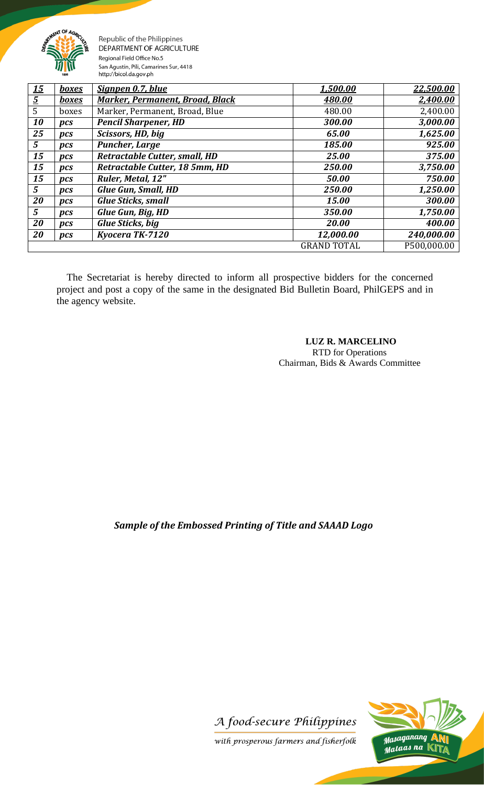

Republic of the Philippines DEPARTMENT OF AGRICULTURE Regional Field Office No.5 San Agustin, Pili, Camarines Sur, 4418 http://bicol.da.gov.ph

| <u> 15</u>     | <u>boxes</u> | Signpen 0.7, blue                      | 1,500.00           | 22,500.00   |
|----------------|--------------|----------------------------------------|--------------------|-------------|
| $\overline{5}$ | <b>boxes</b> | <b>Marker, Permanent, Broad, Black</b> | 480.00             | 2,400.00    |
| 5              | boxes        | Marker, Permanent, Broad, Blue         | 480.00             | 2,400.00    |
| 10             | pcs          | <b>Pencil Sharpener, HD</b>            | 300.00             | 3,000.00    |
| 25             | pcs          | Scissors, HD, big                      | 65.00              | 1,625.00    |
| 5              | pcs          | <b>Puncher, Large</b>                  | 185.00             | 925.00      |
| 15             | pcs          | <b>Retractable Cutter, small, HD</b>   | 25.00              | 375.00      |
| 15             | pcs          | Retractable Cutter, 18 5mm, HD         | 250.00             | 3,750.00    |
| 15             | pcs          | Ruler, Metal, 12"                      | 50.00              | 750.00      |
| 5              | pcs          | <b>Glue Gun, Small, HD</b>             | 250.00             | 1,250.00    |
| 20             | pcs          | <b>Glue Sticks, small</b>              | 15.00              | 300.00      |
| 5              | pcs          | Glue Gun, Big, HD                      | 350.00             | 1,750.00    |
| 20             | pcs          | <b>Glue Sticks, big</b>                | 20.00              | 400.00      |
| 20             | pcs          | Kyocera TK-7120                        | 12,000.00          | 240,000.00  |
|                |              |                                        | <b>GRAND TOTAL</b> | P500,000.00 |

 The Secretariat is hereby directed to inform all prospective bidders for the concerned project and post a copy of the same in the designated Bid Bulletin Board, PhilGEPS and in the agency website.

## **LUZ R. MARCELINO**

 RTD for Operations Chairman, Bids & Awards Committee

*Sample of the Embossed Printing of Title and SAAAD Logo*





with prosperous farmers and fisherfolk